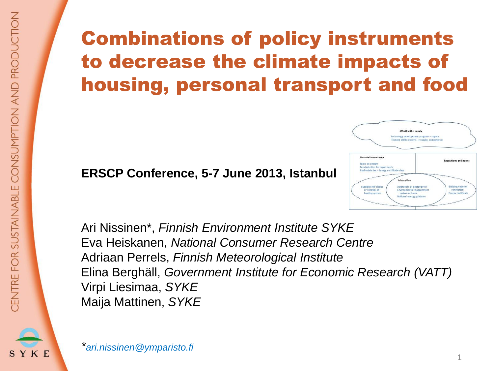SYKE

# Combinations of policy instruments to decrease the climate impacts of housing, personal transport and food

#### **ERSCP Conference, 5-7 June 2013, Istanbul**



Ari Nissinen\*, *Finnish Environment Institute SYKE* Eva Heiskanen, *National Consumer Research Centre* Adriaan Perrels, *Finnish Meteorological Institute* Elina Berghäll, *Government Institute for Economic Research (VATT)* Virpi Liesimaa, *SYKE* Maija Mattinen, *SYKE*

*\*ari.nissinen@ymparisto.fi*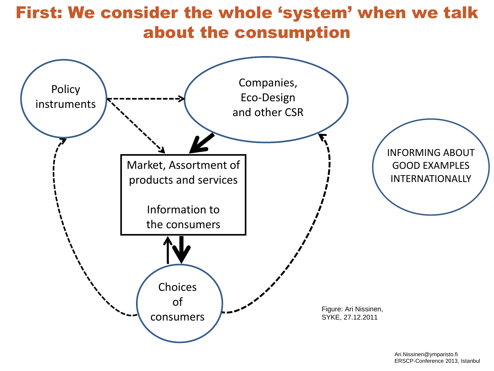### First: We consider the whole 'system' when we talk about the consumption

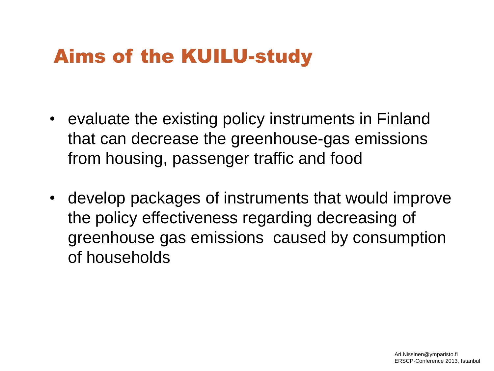# Aims of the KUILU-study

- evaluate the existing policy instruments in Finland that can decrease the greenhouse-gas emissions from housing, passenger traffic and food
- develop packages of instruments that would improve the policy effectiveness regarding decreasing of greenhouse gas emissions caused by consumption of households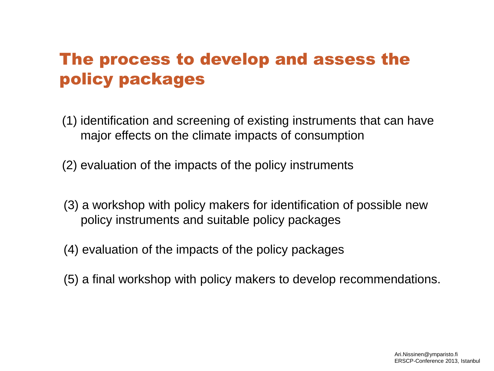### The process to develop and assess the policy packages

- (1) identification and screening of existing instruments that can have major effects on the climate impacts of consumption
- (2) evaluation of the impacts of the policy instruments
- (3) a workshop with policy makers for identification of possible new policy instruments and suitable policy packages
- (4) evaluation of the impacts of the policy packages
- (5) a final workshop with policy makers to develop recommendations.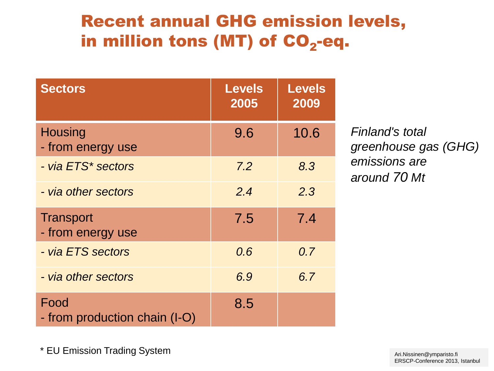### Recent annual GHG emission levels, in million tons (MT) of CO<sub>2</sub>-eq.

| <b>Sectors</b>                        | <b>Levels</b><br>2005 | Levels<br>2009 |
|---------------------------------------|-----------------------|----------------|
| <b>Housing</b><br>- from energy use   | 9.6                   | 10.6           |
| - via ETS* sectors                    | 7.2                   | 8.3            |
| - via other sectors                   | 2.4                   | 2.3            |
| <b>Transport</b><br>- from energy use | 7.5                   | 7.4            |
| - via ETS sectors                     | 0.6                   | 0.7            |
| - via other sectors                   | 6.9                   | 6.7            |
| Food<br>- from production chain (I-O) | 8.5                   |                |

*Finland's total greenhouse gas (GHG) emissions are around 70 Mt* 

\* EU Emission Trading System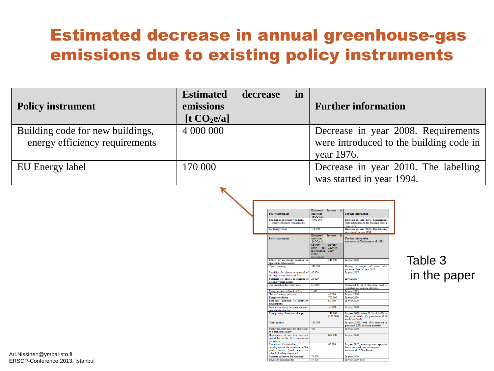### Estimated decrease in annual greenhouse-gas emissions due to existing policy instruments

| <b>Policy instrument</b>                                           | <b>Estimated</b><br>emissions<br>[t CO <sub>2</sub> e/a] | decrease | in | <b>Further information</b>                                                                   |
|--------------------------------------------------------------------|----------------------------------------------------------|----------|----|----------------------------------------------------------------------------------------------|
| Building code for new buildings,<br>energy efficiency requirements | 4 000 000                                                |          |    | Decrease in year 2008. Requirements<br>were introduced to the building code in<br>year 1976. |
| EU Energy label                                                    | 170 000                                                  |          |    | Decrease in year 2010. The labelling<br>was started in year 1994.                            |

|                                                                  | Estimated                | decrease | in                      |                                                                         |
|------------------------------------------------------------------|--------------------------|----------|-------------------------|-------------------------------------------------------------------------|
| <b>Policy instrument</b>                                         | emissions.<br>It CO-e/al |          |                         | <b>Further information</b>                                              |
| Building code for new buildings,                                 | 4 000 000                |          |                         | Decrease in year 2008. Requirements                                     |
| energy efficiency requirements                                   |                          |          |                         | were introduced to the building code in                                 |
|                                                                  |                          |          |                         | vear 1976.                                                              |
| <b>EU Energy label</b>                                           | 170 000                  |          |                         | Decrease in year 2010. The labelling                                    |
|                                                                  |                          |          |                         | was started in year 1994.                                               |
|                                                                  | <b>Estimated</b>         | decrease | $\overline{\mathbf{m}}$ |                                                                         |
| <b>Policy instrument</b>                                         | <i>emissions</i>         |          |                         | <b>Further information</b>                                              |
|                                                                  | It $CO$ -e/al            |          |                         | (see more in Heiskanen et al. 2012)                                     |
|                                                                  | Shortly                  | In year  |                         |                                                                         |
|                                                                  | the I<br>after           | 2020 or  |                         |                                                                         |
|                                                                  | <i>introduction</i>      | 2030     |                         |                                                                         |
|                                                                  | of the                   |          |                         |                                                                         |
|                                                                  | instrument.              |          |                         |                                                                         |
| Effects of eco-design directive on                               |                          | 340 000  |                         | In year 2020.                                                           |
| appliances at households                                         |                          |          |                         |                                                                         |
| Taxes on energy                                                  | 340 000                  |          |                         | During a couple of vears after                                          |
|                                                                  |                          |          |                         | increased taxes in vear 2011.                                           |
| Subsidies for choice or renewal of                               | 40,000                   |          |                         | In year 2007.                                                           |
| heating system, blocks of flats                                  |                          |          |                         |                                                                         |
| Subsidies for choice or renewal of                               | 25 000                   |          |                         | In year 2007.                                                           |
| heating system, houses                                           |                          |          |                         |                                                                         |
| Tax deduction for repair work                                    | (25000)                  |          |                         | Estimated to be at the same level as                                    |
|                                                                  |                          |          |                         | subsidies, no separate statistics.                                      |
| Energy experts in block of flats                                 | 1400                     |          |                         | In year 2005.                                                           |
| National energy guidance                                         |                          | 40 000   |                         | In year 2020.                                                           |
| Energy certificate                                               |                          | 700 000  |                         | In year 2030.                                                           |
| Real-time metering of electricity                                |                          | 60 000   |                         | In year 2020.                                                           |
| consumption                                                      |                          |          |                         |                                                                         |
| Land use planning for more compact                               |                          | 36 000   |                         | In year 2020.                                                           |
| community structure                                              |                          | 140,000  |                         | In year 2020, when 20 % of traffic in                                   |
| Road pricing / Road user charges                                 |                          | (700000) |                         | the priced roads. (In parenthesis if all                                |
|                                                                  |                          |          |                         | roads involved).                                                        |
| Taxes on fuels                                                   |                          |          |                         |                                                                         |
|                                                                  | 180 000                  |          |                         | In year 2010, with 10% increase in                                      |
|                                                                  | 430                      |          |                         | price and 2,5% decrease in traffic.<br>In year 2000.                    |
| Public transport ticket for employees<br>as a part of the salary |                          |          |                         |                                                                         |
| Dependence of purchase tax and                                   |                          | 800 000  |                         | In year 2020.                                                           |
|                                                                  |                          |          |                         |                                                                         |
| annual tax on the CO <sub>2</sub> emission of<br>the vehicle.    |                          |          |                         |                                                                         |
| Promotion of sustainable                                         |                          | 62 000   |                         |                                                                         |
| development in the restaurants of the                            |                          |          |                         | In year 2020, assuming one vegetarian<br>lunch per week, and subsequent |
| public sector (lunch meals in                                    |                          |          |                         | increase of 10 % at homes                                               |
| schools, kindergartens etc.)                                     |                          |          |                         |                                                                         |
| Separate collection for biowaste                                 | 73 000                   |          |                         | In year 2009.                                                           |
| Beverage packaging tax                                           | 57 000                   |          |                         | In year 2009, beer.                                                     |
|                                                                  |                          |          |                         |                                                                         |

#### Table 3 in the paper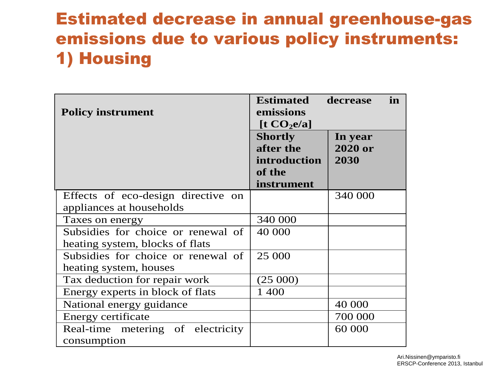### Estimated decrease in annual greenhouse-gas emissions due to various policy instruments: 1) Housing

| <b>Policy instrument</b>                                              | <b>Estimated</b><br>emissions<br>$\left[ \frac{1}{2} \mathbf{CO}_2 \mathbf{e}/\mathbf{a} \right]$ | decrease<br>in             |
|-----------------------------------------------------------------------|---------------------------------------------------------------------------------------------------|----------------------------|
|                                                                       | <b>Shortly</b><br>after the<br>introduction<br>of the<br>instrument                               | In year<br>2020 or<br>2030 |
| Effects of eco-design directive on<br>appliances at households        |                                                                                                   | 340 000                    |
| Taxes on energy                                                       | 340 000                                                                                           |                            |
| Subsidies for choice or renewal of<br>heating system, blocks of flats | 40 000                                                                                            |                            |
| Subsidies for choice or renewal of                                    | 25 000                                                                                            |                            |
| heating system, houses                                                |                                                                                                   |                            |
| Tax deduction for repair work                                         | (25000)                                                                                           |                            |
| Energy experts in block of flats                                      | 1 400                                                                                             |                            |
| National energy guidance                                              |                                                                                                   | 40 000                     |
| Energy certificate                                                    |                                                                                                   | 700 000                    |
| Real-time metering of electricity<br>consumption                      |                                                                                                   | 60 000                     |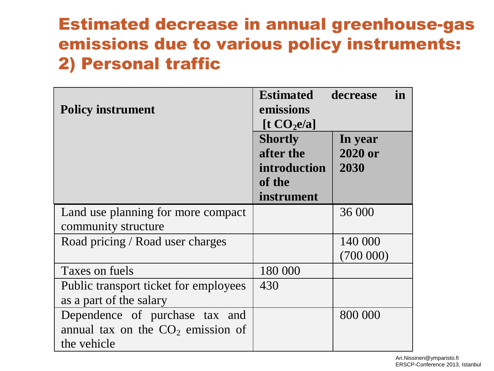### Estimated decrease in annual greenhouse-gas emissions due to various policy instruments: 2) Personal traffic

| <b>Policy instrument</b>                                                             | <b>Estimated</b><br>emissions<br>$\left[ \frac{1}{2} \mathbf{CO}_2 \mathbf{e}/\mathbf{a} \right]$ | decrease<br>in             |
|--------------------------------------------------------------------------------------|---------------------------------------------------------------------------------------------------|----------------------------|
|                                                                                      | <b>Shortly</b><br>after the<br><i>introduction</i><br>of the<br>instrument                        | In year<br>2020 or<br>2030 |
| Land use planning for more compact                                                   |                                                                                                   | 36 000                     |
| community structure                                                                  |                                                                                                   |                            |
| Road pricing / Road user charges                                                     |                                                                                                   | 140 000<br>(700000)        |
| Taxes on fuels                                                                       | 180 000                                                                                           |                            |
| Public transport ticket for employees<br>as a part of the salary                     | 430                                                                                               |                            |
| Dependence of purchase tax and<br>annual tax on the $CO2$ emission of<br>the vehicle |                                                                                                   | 800 000                    |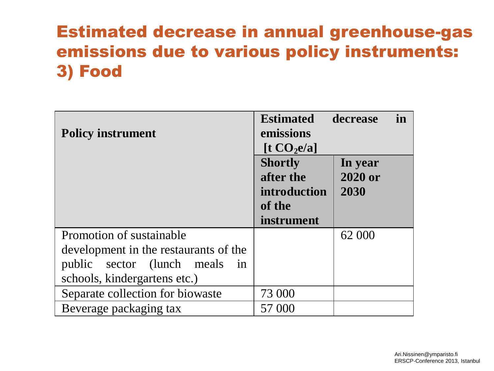### Estimated decrease in annual greenhouse-gas emissions due to various policy instruments: 3) Food

| <b>Policy instrument</b>                             | <b>Estimated</b><br>emissions<br>$\left[ \frac{1}{2} \mathbf{CO}_2 \mathbf{e}/a \right]$ | in<br>decrease |
|------------------------------------------------------|------------------------------------------------------------------------------------------|----------------|
|                                                      | <b>Shortly</b>                                                                           | In year        |
|                                                      | after the                                                                                | 2020 or        |
|                                                      | introduction                                                                             | 2030           |
|                                                      | of the                                                                                   |                |
|                                                      | instrument                                                                               |                |
| Promotion of sustainable                             |                                                                                          | 62 000         |
| development in the restaurants of the                |                                                                                          |                |
| public sector (lunch meals<br>$\overline{\text{in}}$ |                                                                                          |                |
| schools, kindergartens etc.)                         |                                                                                          |                |
| Separate collection for biowaste                     | 73 000                                                                                   |                |
| Beverage packaging tax                               | 57 000                                                                                   |                |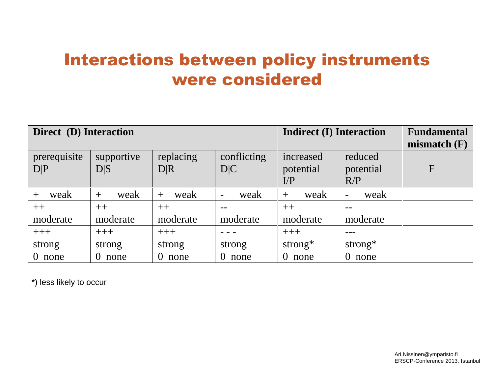### Interactions between policy instruments were considered

| Direct (D) Interaction |                  |                  | <b>Indirect (I) Interaction</b>  | <b>Fundamental</b> |                                  |                |
|------------------------|------------------|------------------|----------------------------------|--------------------|----------------------------------|----------------|
|                        |                  |                  |                                  |                    |                                  | mismatch $(F)$ |
| prerequisite           | supportive       | replacing        | conflicting                      | increased          | reduced                          |                |
| D P                    | D S              | D R              | D C                              | potential          | potential                        | F              |
|                        |                  |                  |                                  | $\Gamma$           | R/P                              |                |
| weak<br>$^{+}$         | weak<br>$^{+}$   | weak<br>$^{+}$   | weak<br>$\overline{\phantom{a}}$ | weak<br>$^{+}$     | weak<br>$\overline{\phantom{a}}$ |                |
| $++$                   | $++$             | $++$             |                                  | $++$               |                                  |                |
| moderate               | moderate         | moderate         | moderate                         | moderate           | moderate                         |                |
| $+++$                  | $+++$            | $+++$            |                                  | $+++$              |                                  |                |
| strong                 | strong           | strong           | strong                           | strong $*$         | strong $*$                       |                |
| $\overline{0}$<br>none | $\theta$<br>none | $\theta$<br>none | $\theta$<br>none                 | none<br>$\theta$   | none                             |                |

\*) less likely to occur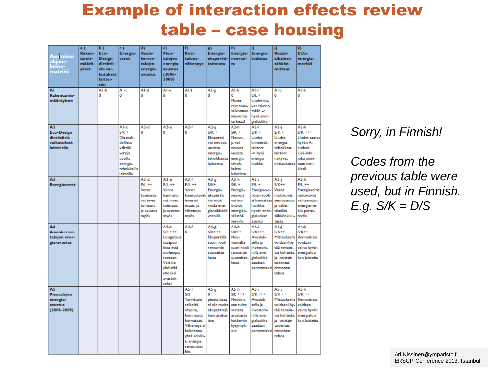### Example of interaction effects review table – case housing

| Asumis <u>en</u><br>ohjaus-<br>keino-<br>matriisi                         | a)<br>Raken-<br>tamis-<br>määrä-<br>vkset | Ы)<br>Eco-<br><b>Design</b><br>direktii-<br>vin vai-<br>kutukset<br>laittei-<br>siin | c)<br>Energia-<br>verot                                                                                           | d)<br>Asuin-<br>kerros-<br>talojen<br>energia-<br>avustus                                 | e)<br>Pien-<br>taloien<br>energia-<br>avustus<br>$(2006 -$<br>2008)                                                                          | f)<br>Koti-<br>talous-<br>vähennys                                                                                                                             | g)<br>Energia-<br>ekspertti-<br>toiminta                                                         | h)<br>Energia-<br>neuvon-<br>ta.                                                                         | i)<br>Energia-<br>todistus                                                                                     | j)<br>Reaali-<br>aikainen<br>sähkön-<br>mittaus                                                                                | k)<br><b>EUm</b><br>energia-<br>merkki                                                                              |
|---------------------------------------------------------------------------|-------------------------------------------|--------------------------------------------------------------------------------------|-------------------------------------------------------------------------------------------------------------------|-------------------------------------------------------------------------------------------|----------------------------------------------------------------------------------------------------------------------------------------------|----------------------------------------------------------------------------------------------------------------------------------------------------------------|--------------------------------------------------------------------------------------------------|----------------------------------------------------------------------------------------------------------|----------------------------------------------------------------------------------------------------------------|--------------------------------------------------------------------------------------------------------------------------------|---------------------------------------------------------------------------------------------------------------------|
| ΑĪ<br>Rakentamis-<br>määräykset                                           |                                           | AI-b<br>Ō                                                                            | Al-c<br>Ō                                                                                                         | AI-d<br>Ō                                                                                 | Al-e<br>Ō                                                                                                                                    | $AI-f$<br>0                                                                                                                                                    | Al-g<br>Ō                                                                                        | Al-h<br>0<br>Mutta<br>rakennus-<br>valvonnan<br>neuvonta<br>tärkeää!                                     | Al-i<br>$E/L +$<br>Uudet tiu-<br>kat rakent-<br>max.<br>hyvä ener-<br>gialuokka                                | Al-i<br>o                                                                                                                      | Al-k<br>O                                                                                                           |
| A <sub>2</sub><br>Eco-Design<br>direktiivin<br>vaikutukset<br>laitteisiin |                                           |                                                                                      | $A2-c$<br>$S/K +$<br>On mah-<br>dollista<br>välttää<br>veroja<br>uusilla<br>energia-<br>tehokkailla<br>laitteilla | $A2-d$<br>o                                                                               | $A2-e$<br>o                                                                                                                                  | $A2-f$<br>o                                                                                                                                                    | $A2-g$<br>$S/K +$<br>Ekspertti<br>voi neuvoa<br>uusista<br>energia-<br>tehokkaista<br>laitteista | $A2-h$<br>$S/K +$<br>Neuvo-<br>ja voi<br>neuvoa<br>uusista<br>energia-<br>tehok-<br>kaista<br>laitteista | $A2-i$<br>$S/K +$<br><b>Uudet</b><br>kiinteistö-<br>laitteet.<br>-> hyvä<br>energia-<br>luokka                 | $A2-i$<br>$S/K +$<br><b>Uudet</b><br>energia-<br>tehokkaat<br>laitteet<br>näkyvät<br>mittauksissa                              | $A2-k$<br>$S/K$ +++<br><b>Uudet saavat</b><br>hyvän A-<br>luokan.<br>Lisä-info<br>joka anne-<br>taan mer-<br>kissä. |
| A3<br>Energiaverot                                                        |                                           |                                                                                      |                                                                                                                   | $A3-d$<br>$E/L + +$<br>Verot<br>kannusta-<br>vat inves-<br>toimaan.<br>ja avustus<br>myös | A3-e<br>$E/L + +$<br>Verot<br>kannusta-<br>vat inves-<br>toimaan.<br>ja avustus<br>myös                                                      | $A3-f$<br>$E/I$ ++<br>Verot<br>kannustavat<br>investoi-<br>maan, ja<br>vähennys<br>myös                                                                        | $A3-g$<br>S/K+<br>Energia-<br>ekspertti<br>voi moti-<br>voida ener-<br>giansäästöä<br>veroilla   | $A3-h$<br>$S/K +$<br>Energia-<br>neuvoja<br>voi mo-<br>tivoida<br>energian-<br>säästöä<br>veroilla       | A3-i<br>$E/L +$<br>Energia-ve-<br>rojen vuok-<br>si kannattaa<br>hankkia<br>hyvän ener-<br>gialuokan<br>asunto | A3-j<br>$S/K++$<br>Verot<br>motivoivat<br>seuraamaan<br>ja vähen-<br>tämään<br>sähkönkulu-<br>tusta                            | $A3-k$<br>$E/L + +$<br>Energiaverot<br>motivoivat<br>valitsemaan<br>energiamer-<br>kin perus-<br>teella             |
| A4<br>Asuinkerros-<br>talojen ener-<br>gia-avustus                        |                                           |                                                                                      |                                                                                                                   |                                                                                           | A4.e.<br>$S/E + + +$<br>Loogista ja<br>tasapuo-<br>lista että<br>molempia<br>tuetaan.<br>Voisiko<br>yhdistää<br>yhdeksi<br>avustuk-<br>seksi | A4.f<br>o                                                                                                                                                      | A4-g<br>$S/K$ +++<br>Ekspertillä<br>suuri rooli<br>remontin<br>suunnitte-<br>lussa               | A4-h<br>$S/K++$<br>Neu-<br>vonnalla<br>suuri rooli<br>remontin<br>suunnitte-<br>lussa                    | A4.i<br>$S/K+++$<br>Avustuk-<br>sella ja<br>investoin-<br>nilla ener-<br>gialuokka<br>saadaan<br>paremmaksi    | A4-i<br>$S/K++$<br>Mittauksella<br>voidaan löy-<br>tää remon-<br>tin kohteita<br>ia osittain<br>todentaa<br>remontin<br>tehoa  | A4-k<br>$S/K++$<br><b>Remontissa</b><br>voidaan<br>valita hyvän<br>energialuo-<br>kan laitteita                     |
| A5<br>Pientalojen<br>energia-<br>avustus<br>$(2006 - 2008)$               |                                           |                                                                                      |                                                                                                                   |                                                                                           |                                                                                                                                              | $A5-f$<br>S/S<br>Tarvittaisi<br>selkeitä<br>ohjeita,<br>kummasta<br>korvataan.<br>Vähennys ei<br>kohdennu<br>yhtä selväs-<br>ti energia-<br>remonttei-<br>hin. | $A5-g$<br>Ō<br>pientalossa<br>ei ole muita<br>eksperttejä<br>kuin asukas<br>itse                 | $A5-h$<br>$S/E + + +$<br>Neuvon-<br>nan tulee<br>vastata<br>avustusta<br>koskeviin<br>kysymyk-<br>siin   | A5-i<br>$S/K$ +++<br>Avustuk-<br>sella ja<br>investoin-<br>nilla ener-<br>gialuokka<br>saadaan<br>paremmaksi   | A5-i<br>$S/K$ ++<br>Mittauksella<br>voidaan löy-<br>taa remon-<br>tin kohteita<br>ia osittain<br>todentaa<br>remontin<br>tehoa | $A5-k$<br>$S/K + +$<br>Remontissa<br>voidaan<br>valita hyvän<br>energialuo-<br>kan laitteita                        |

*Sorry, in Finnish!*

*Codes from the previous table were used, but in Finnish. E.g. S/K = D/S*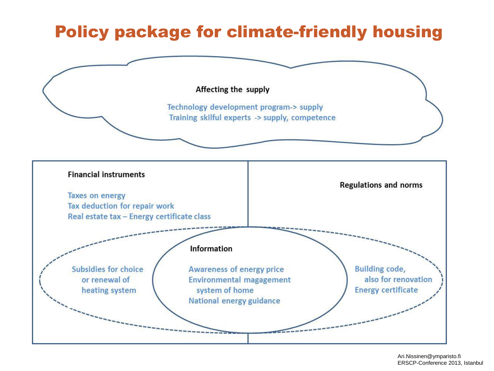### Policy package for climate-friendly housing

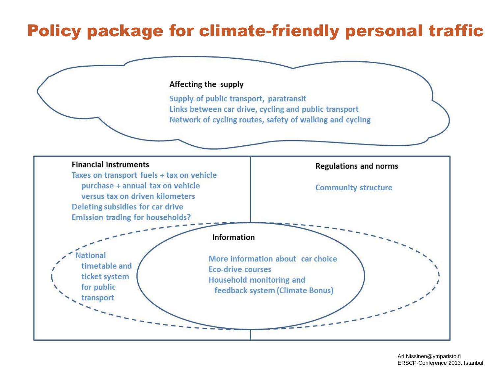### Policy package for climate-friendly personal traffic

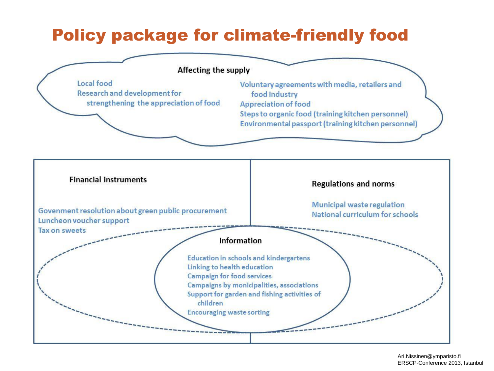### Policy package for climate-friendly food

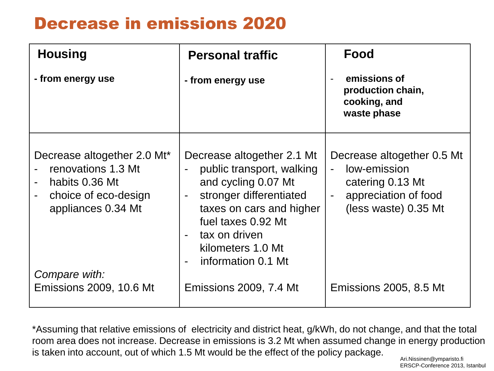### Decrease in emissions 2020

| <b>Housing</b>                                                                                                                     | <b>Personal traffic</b>                                                                                                                                                                                                                                                       | <b>Food</b>                                                                                                                |
|------------------------------------------------------------------------------------------------------------------------------------|-------------------------------------------------------------------------------------------------------------------------------------------------------------------------------------------------------------------------------------------------------------------------------|----------------------------------------------------------------------------------------------------------------------------|
| - from energy use                                                                                                                  | - from energy use                                                                                                                                                                                                                                                             | emissions of<br>production chain,<br>cooking, and<br>waste phase                                                           |
| Decrease altogether 2.0 Mt*<br>renovations 1.3 Mt<br>habits 0.36 Mt<br>choice of eco-design<br>appliances 0.34 Mt<br>Compare with: | Decrease altogether 2.1 Mt<br>public transport, walking<br>and cycling 0.07 Mt<br>stronger differentiated<br>$\overline{a}$<br>taxes on cars and higher<br>fuel taxes 0.92 Mt<br>tax on driven<br>$\blacksquare$<br>kilometers 1.0 Mt<br>information 0.1 Mt<br>$\blacksquare$ | Decrease altogether 0.5 Mt<br>low-emission<br>$\Delta$<br>catering 0.13 Mt<br>appreciation of food<br>(less waste) 0.35 Mt |
| <b>Emissions 2009, 10.6 Mt</b>                                                                                                     | Emissions 2009, 7.4 Mt                                                                                                                                                                                                                                                        | Emissions 2005, 8.5 Mt                                                                                                     |

\*Assuming that relative emissions of electricity and district heat, g/kWh, do not change, and that the total room area does not increase. Decrease in emissions is 3.2 Mt when assumed change in energy production is taken into account, out of which 1.5 Mt would be the effect of the policy package.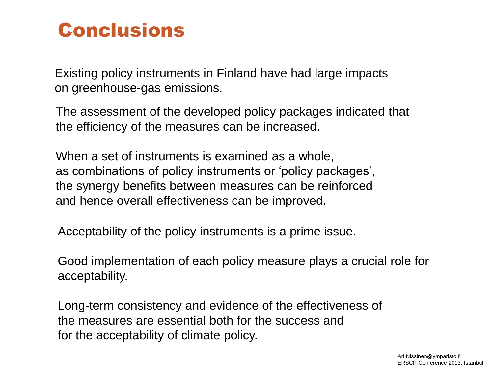## Conclusions

Existing policy instruments in Finland have had large impacts on greenhouse-gas emissions.

The assessment of the developed policy packages indicated that the efficiency of the measures can be increased.

When a set of instruments is examined as a whole, as combinations of policy instruments or 'policy packages', the synergy benefits between measures can be reinforced and hence overall effectiveness can be improved.

Acceptability of the policy instruments is a prime issue.

Good implementation of each policy measure plays a crucial role for acceptability.

Long-term consistency and evidence of the effectiveness of the measures are essential both for the success and for the acceptability of climate policy.